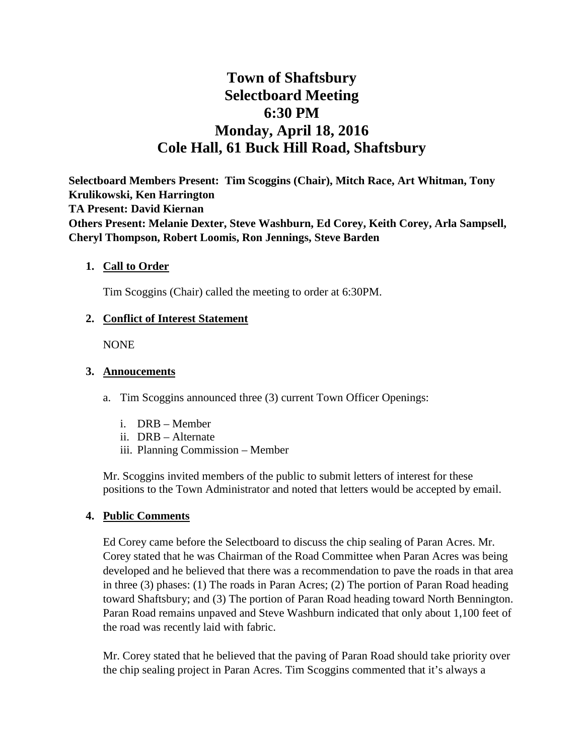# **Town of Shaftsbury Selectboard Meeting 6:30 PM Monday, April 18, 2016 Cole Hall, 61 Buck Hill Road, Shaftsbury**

**Selectboard Members Present: Tim Scoggins (Chair), Mitch Race, Art Whitman, Tony Krulikowski, Ken Harrington TA Present: David Kiernan Others Present: Melanie Dexter, Steve Washburn, Ed Corey, Keith Corey, Arla Sampsell, Cheryl Thompson, Robert Loomis, Ron Jennings, Steve Barden**

#### **1. Call to Order**

Tim Scoggins (Chair) called the meeting to order at 6:30PM.

#### **2. Conflict of Interest Statement**

NONE

#### **3. Annoucements**

a. Tim Scoggins announced three (3) current Town Officer Openings:

- i. DRB Member
- ii. DRB Alternate
- iii. Planning Commission Member

Mr. Scoggins invited members of the public to submit letters of interest for these positions to the Town Administrator and noted that letters would be accepted by email.

#### **4. Public Comments**

Ed Corey came before the Selectboard to discuss the chip sealing of Paran Acres. Mr. Corey stated that he was Chairman of the Road Committee when Paran Acres was being developed and he believed that there was a recommendation to pave the roads in that area in three (3) phases: (1) The roads in Paran Acres; (2) The portion of Paran Road heading toward Shaftsbury; and (3) The portion of Paran Road heading toward North Bennington. Paran Road remains unpaved and Steve Washburn indicated that only about 1,100 feet of the road was recently laid with fabric.

Mr. Corey stated that he believed that the paving of Paran Road should take priority over the chip sealing project in Paran Acres. Tim Scoggins commented that it's always a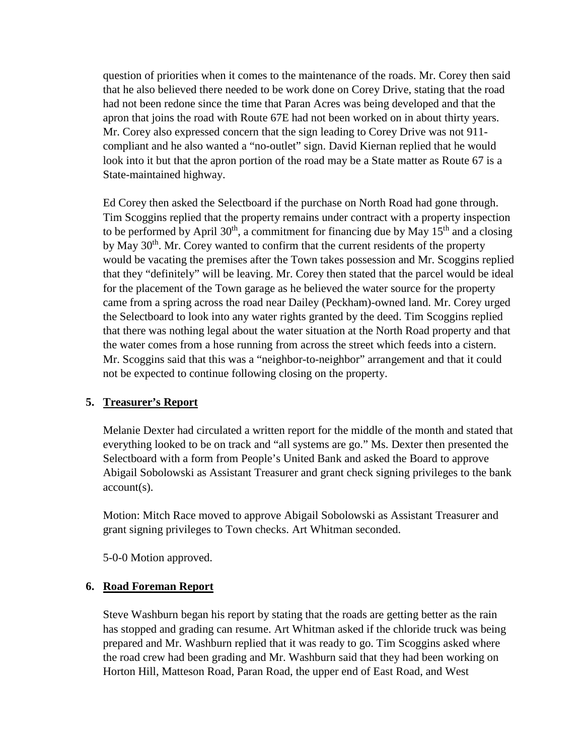question of priorities when it comes to the maintenance of the roads. Mr. Corey then said that he also believed there needed to be work done on Corey Drive, stating that the road had not been redone since the time that Paran Acres was being developed and that the apron that joins the road with Route 67E had not been worked on in about thirty years. Mr. Corey also expressed concern that the sign leading to Corey Drive was not 911 compliant and he also wanted a "no-outlet" sign. David Kiernan replied that he would look into it but that the apron portion of the road may be a State matter as Route 67 is a State-maintained highway.

Ed Corey then asked the Selectboard if the purchase on North Road had gone through. Tim Scoggins replied that the property remains under contract with a property inspection to be performed by April  $30<sup>th</sup>$ , a commitment for financing due by May  $15<sup>th</sup>$  and a closing by May  $30<sup>th</sup>$ . Mr. Corey wanted to confirm that the current residents of the property would be vacating the premises after the Town takes possession and Mr. Scoggins replied that they "definitely" will be leaving. Mr. Corey then stated that the parcel would be ideal for the placement of the Town garage as he believed the water source for the property came from a spring across the road near Dailey (Peckham)-owned land. Mr. Corey urged the Selectboard to look into any water rights granted by the deed. Tim Scoggins replied that there was nothing legal about the water situation at the North Road property and that the water comes from a hose running from across the street which feeds into a cistern. Mr. Scoggins said that this was a "neighbor-to-neighbor" arrangement and that it could not be expected to continue following closing on the property.

# **5. Treasurer's Report**

Melanie Dexter had circulated a written report for the middle of the month and stated that everything looked to be on track and "all systems are go." Ms. Dexter then presented the Selectboard with a form from People's United Bank and asked the Board to approve Abigail Sobolowski as Assistant Treasurer and grant check signing privileges to the bank account(s).

Motion: Mitch Race moved to approve Abigail Sobolowski as Assistant Treasurer and grant signing privileges to Town checks. Art Whitman seconded.

5-0-0 Motion approved.

# **6. Road Foreman Report**

Steve Washburn began his report by stating that the roads are getting better as the rain has stopped and grading can resume. Art Whitman asked if the chloride truck was being prepared and Mr. Washburn replied that it was ready to go. Tim Scoggins asked where the road crew had been grading and Mr. Washburn said that they had been working on Horton Hill, Matteson Road, Paran Road, the upper end of East Road, and West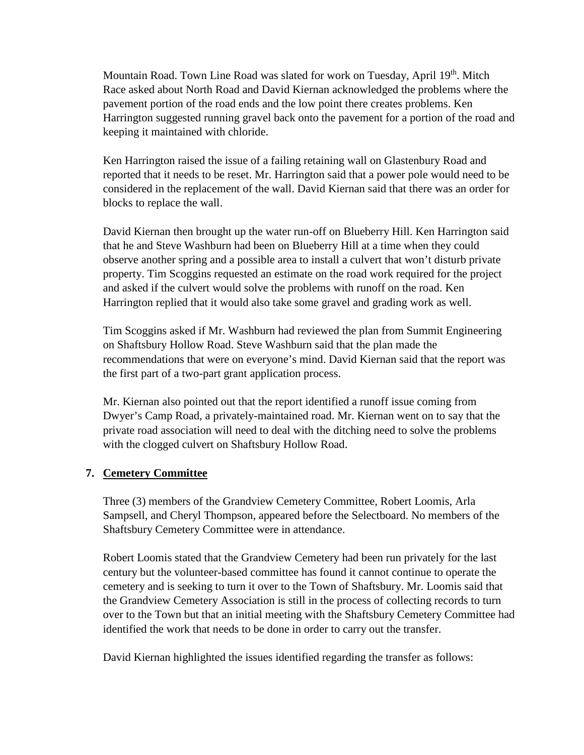Mountain Road. Town Line Road was slated for work on Tuesday, April 19th. Mitch Race asked about North Road and David Kiernan acknowledged the problems where the pavement portion of the road ends and the low point there creates problems. Ken Harrington suggested running gravel back onto the pavement for a portion of the road and keeping it maintained with chloride.

Ken Harrington raised the issue of a failing retaining wall on Glastenbury Road and reported that it needs to be reset. Mr. Harrington said that a power pole would need to be considered in the replacement of the wall. David Kiernan said that there was an order for blocks to replace the wall.

David Kiernan then brought up the water run-off on Blueberry Hill. Ken Harrington said that he and Steve Washburn had been on Blueberry Hill at a time when they could observe another spring and a possible area to install a culvert that won't disturb private property. Tim Scoggins requested an estimate on the road work required for the project and asked if the culvert would solve the problems with runoff on the road. Ken Harrington replied that it would also take some gravel and grading work as well.

Tim Scoggins asked if Mr. Washburn had reviewed the plan from Summit Engineering on Shaftsbury Hollow Road. Steve Washburn said that the plan made the recommendations that were on everyone's mind. David Kiernan said that the report was the first part of a two-part grant application process.

Mr. Kiernan also pointed out that the report identified a runoff issue coming from Dwyer's Camp Road, a privately-maintained road. Mr. Kiernan went on to say that the private road association will need to deal with the ditching need to solve the problems with the clogged culvert on Shaftsbury Hollow Road.

# **7. Cemetery Committee**

Three (3) members of the Grandview Cemetery Committee, Robert Loomis, Arla Sampsell, and Cheryl Thompson, appeared before the Selectboard. No members of the Shaftsbury Cemetery Committee were in attendance.

Robert Loomis stated that the Grandview Cemetery had been run privately for the last century but the volunteer-based committee has found it cannot continue to operate the cemetery and is seeking to turn it over to the Town of Shaftsbury. Mr. Loomis said that the Grandview Cemetery Association is still in the process of collecting records to turn over to the Town but that an initial meeting with the Shaftsbury Cemetery Committee had identified the work that needs to be done in order to carry out the transfer.

David Kiernan highlighted the issues identified regarding the transfer as follows: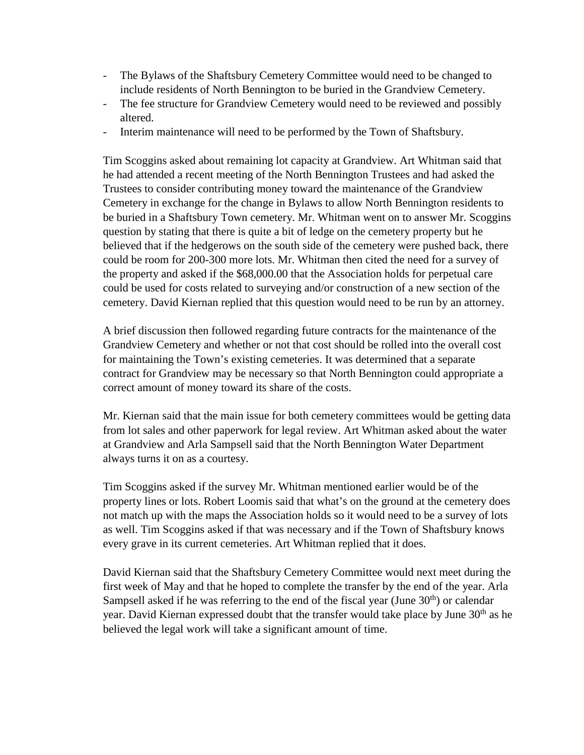- The Bylaws of the Shaftsbury Cemetery Committee would need to be changed to include residents of North Bennington to be buried in the Grandview Cemetery.
- The fee structure for Grandview Cemetery would need to be reviewed and possibly altered.
- Interim maintenance will need to be performed by the Town of Shaftsbury.

Tim Scoggins asked about remaining lot capacity at Grandview. Art Whitman said that he had attended a recent meeting of the North Bennington Trustees and had asked the Trustees to consider contributing money toward the maintenance of the Grandview Cemetery in exchange for the change in Bylaws to allow North Bennington residents to be buried in a Shaftsbury Town cemetery. Mr. Whitman went on to answer Mr. Scoggins question by stating that there is quite a bit of ledge on the cemetery property but he believed that if the hedgerows on the south side of the cemetery were pushed back, there could be room for 200-300 more lots. Mr. Whitman then cited the need for a survey of the property and asked if the \$68,000.00 that the Association holds for perpetual care could be used for costs related to surveying and/or construction of a new section of the cemetery. David Kiernan replied that this question would need to be run by an attorney.

A brief discussion then followed regarding future contracts for the maintenance of the Grandview Cemetery and whether or not that cost should be rolled into the overall cost for maintaining the Town's existing cemeteries. It was determined that a separate contract for Grandview may be necessary so that North Bennington could appropriate a correct amount of money toward its share of the costs.

Mr. Kiernan said that the main issue for both cemetery committees would be getting data from lot sales and other paperwork for legal review. Art Whitman asked about the water at Grandview and Arla Sampsell said that the North Bennington Water Department always turns it on as a courtesy.

Tim Scoggins asked if the survey Mr. Whitman mentioned earlier would be of the property lines or lots. Robert Loomis said that what's on the ground at the cemetery does not match up with the maps the Association holds so it would need to be a survey of lots as well. Tim Scoggins asked if that was necessary and if the Town of Shaftsbury knows every grave in its current cemeteries. Art Whitman replied that it does.

David Kiernan said that the Shaftsbury Cemetery Committee would next meet during the first week of May and that he hoped to complete the transfer by the end of the year. Arla Sampsell asked if he was referring to the end of the fiscal year (June  $30<sup>th</sup>$ ) or calendar year. David Kiernan expressed doubt that the transfer would take place by June 30<sup>th</sup> as he believed the legal work will take a significant amount of time.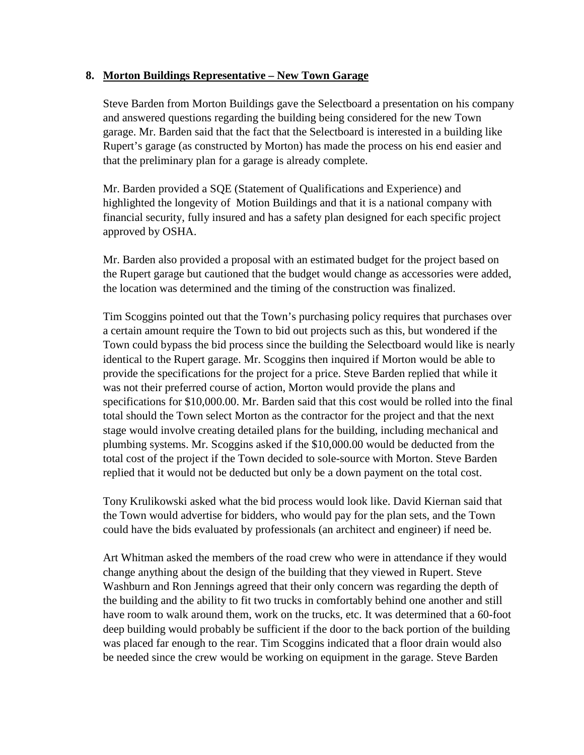# **8. Morton Buildings Representative – New Town Garage**

Steve Barden from Morton Buildings gave the Selectboard a presentation on his company and answered questions regarding the building being considered for the new Town garage. Mr. Barden said that the fact that the Selectboard is interested in a building like Rupert's garage (as constructed by Morton) has made the process on his end easier and that the preliminary plan for a garage is already complete.

Mr. Barden provided a SQE (Statement of Qualifications and Experience) and highlighted the longevity of Motion Buildings and that it is a national company with financial security, fully insured and has a safety plan designed for each specific project approved by OSHA.

Mr. Barden also provided a proposal with an estimated budget for the project based on the Rupert garage but cautioned that the budget would change as accessories were added, the location was determined and the timing of the construction was finalized.

Tim Scoggins pointed out that the Town's purchasing policy requires that purchases over a certain amount require the Town to bid out projects such as this, but wondered if the Town could bypass the bid process since the building the Selectboard would like is nearly identical to the Rupert garage. Mr. Scoggins then inquired if Morton would be able to provide the specifications for the project for a price. Steve Barden replied that while it was not their preferred course of action, Morton would provide the plans and specifications for \$10,000.00. Mr. Barden said that this cost would be rolled into the final total should the Town select Morton as the contractor for the project and that the next stage would involve creating detailed plans for the building, including mechanical and plumbing systems. Mr. Scoggins asked if the \$10,000.00 would be deducted from the total cost of the project if the Town decided to sole-source with Morton. Steve Barden replied that it would not be deducted but only be a down payment on the total cost.

Tony Krulikowski asked what the bid process would look like. David Kiernan said that the Town would advertise for bidders, who would pay for the plan sets, and the Town could have the bids evaluated by professionals (an architect and engineer) if need be.

Art Whitman asked the members of the road crew who were in attendance if they would change anything about the design of the building that they viewed in Rupert. Steve Washburn and Ron Jennings agreed that their only concern was regarding the depth of the building and the ability to fit two trucks in comfortably behind one another and still have room to walk around them, work on the trucks, etc. It was determined that a 60-foot deep building would probably be sufficient if the door to the back portion of the building was placed far enough to the rear. Tim Scoggins indicated that a floor drain would also be needed since the crew would be working on equipment in the garage. Steve Barden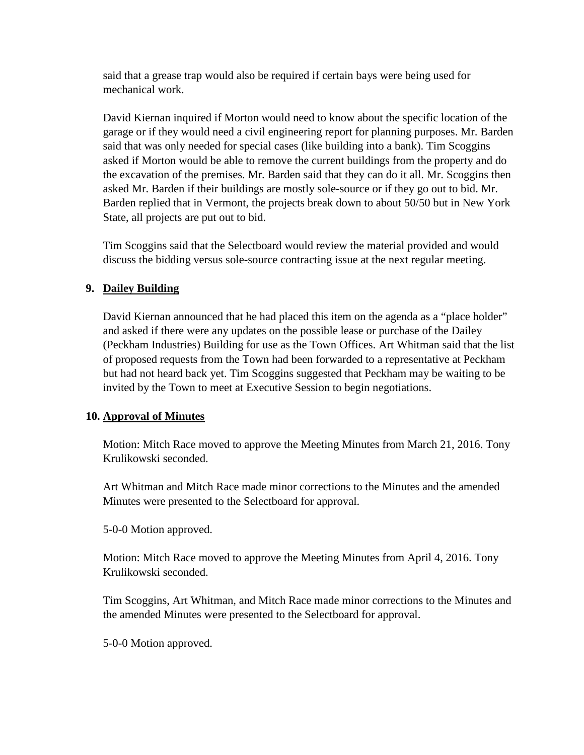said that a grease trap would also be required if certain bays were being used for mechanical work.

David Kiernan inquired if Morton would need to know about the specific location of the garage or if they would need a civil engineering report for planning purposes. Mr. Barden said that was only needed for special cases (like building into a bank). Tim Scoggins asked if Morton would be able to remove the current buildings from the property and do the excavation of the premises. Mr. Barden said that they can do it all. Mr. Scoggins then asked Mr. Barden if their buildings are mostly sole-source or if they go out to bid. Mr. Barden replied that in Vermont, the projects break down to about 50/50 but in New York State, all projects are put out to bid.

Tim Scoggins said that the Selectboard would review the material provided and would discuss the bidding versus sole-source contracting issue at the next regular meeting.

# **9. Dailey Building**

David Kiernan announced that he had placed this item on the agenda as a "place holder" and asked if there were any updates on the possible lease or purchase of the Dailey (Peckham Industries) Building for use as the Town Offices. Art Whitman said that the list of proposed requests from the Town had been forwarded to a representative at Peckham but had not heard back yet. Tim Scoggins suggested that Peckham may be waiting to be invited by the Town to meet at Executive Session to begin negotiations.

# **10. Approval of Minutes**

Motion: Mitch Race moved to approve the Meeting Minutes from March 21, 2016. Tony Krulikowski seconded.

Art Whitman and Mitch Race made minor corrections to the Minutes and the amended Minutes were presented to the Selectboard for approval.

5-0-0 Motion approved.

Motion: Mitch Race moved to approve the Meeting Minutes from April 4, 2016. Tony Krulikowski seconded.

Tim Scoggins, Art Whitman, and Mitch Race made minor corrections to the Minutes and the amended Minutes were presented to the Selectboard for approval.

5-0-0 Motion approved.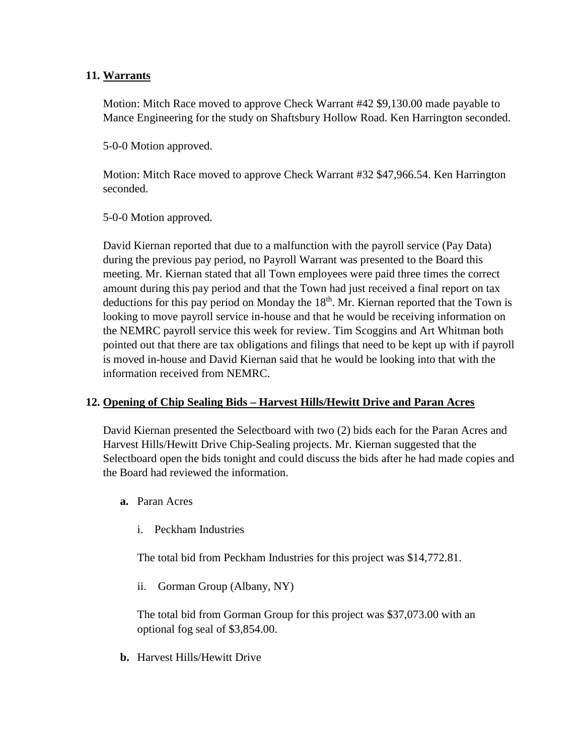# **11. Warrants**

Motion: Mitch Race moved to approve Check Warrant #42 \$9,130.00 made payable to Mance Engineering for the study on Shaftsbury Hollow Road. Ken Harrington seconded.

5-0-0 Motion approved.

Motion: Mitch Race moved to approve Check Warrant #32 \$47,966.54. Ken Harrington seconded.

5-0-0 Motion approved.

David Kiernan reported that due to a malfunction with the payroll service (Pay Data) during the previous pay period, no Payroll Warrant was presented to the Board this meeting. Mr. Kiernan stated that all Town employees were paid three times the correct amount during this pay period and that the Town had just received a final report on tax deductions for this pay period on Monday the  $18<sup>th</sup>$ . Mr. Kiernan reported that the Town is looking to move payroll service in-house and that he would be receiving information on the NEMRC payroll service this week for review. Tim Scoggins and Art Whitman both pointed out that there are tax obligations and filings that need to be kept up with if payroll is moved in-house and David Kiernan said that he would be looking into that with the information received from NEMRC.

# **12. Opening of Chip Sealing Bids – Harvest Hills/Hewitt Drive and Paran Acres**

David Kiernan presented the Selectboard with two (2) bids each for the Paran Acres and Harvest Hills/Hewitt Drive Chip-Sealing projects. Mr. Kiernan suggested that the Selectboard open the bids tonight and could discuss the bids after he had made copies and the Board had reviewed the information.

- **a.** Paran Acres
	- i. Peckham Industries

The total bid from Peckham Industries for this project was \$14,772.81.

ii. Gorman Group (Albany, NY)

The total bid from Gorman Group for this project was \$37,073.00 with an optional fog seal of \$3,854.00.

**b.** Harvest Hills/Hewitt Drive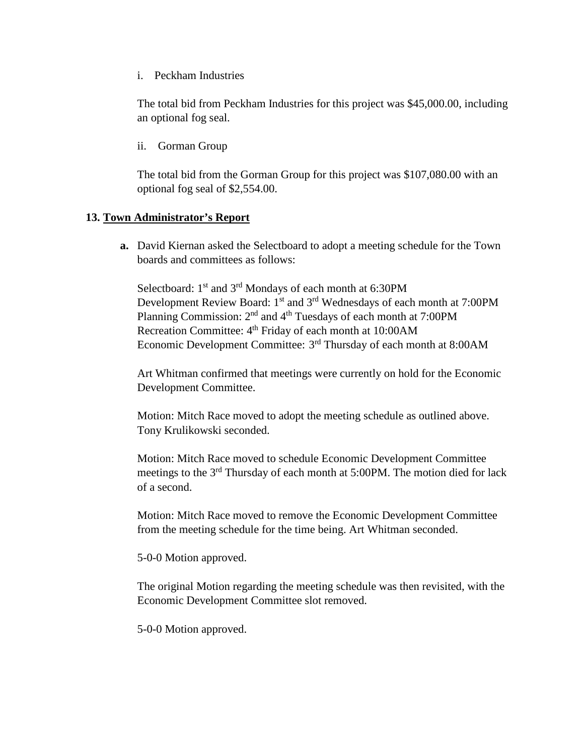i. Peckham Industries

The total bid from Peckham Industries for this project was \$45,000.00, including an optional fog seal.

ii. Gorman Group

The total bid from the Gorman Group for this project was \$107,080.00 with an optional fog seal of \$2,554.00.

#### **13. Town Administrator's Report**

**a.** David Kiernan asked the Selectboard to adopt a meeting schedule for the Town boards and committees as follows:

Selectboard:  $1<sup>st</sup>$  and  $3<sup>rd</sup>$  Mondays of each month at 6:30PM Development Review Board: 1<sup>st</sup> and 3<sup>rd</sup> Wednesdays of each month at 7:00PM Planning Commission:  $2<sup>nd</sup>$  and  $4<sup>th</sup>$  Tuesdays of each month at 7:00PM Recreation Committee: 4<sup>th</sup> Friday of each month at 10:00AM Economic Development Committee: 3rd Thursday of each month at 8:00AM

Art Whitman confirmed that meetings were currently on hold for the Economic Development Committee.

Motion: Mitch Race moved to adopt the meeting schedule as outlined above. Tony Krulikowski seconded.

Motion: Mitch Race moved to schedule Economic Development Committee meetings to the 3rd Thursday of each month at 5:00PM. The motion died for lack of a second.

Motion: Mitch Race moved to remove the Economic Development Committee from the meeting schedule for the time being. Art Whitman seconded.

5-0-0 Motion approved.

The original Motion regarding the meeting schedule was then revisited, with the Economic Development Committee slot removed.

5-0-0 Motion approved.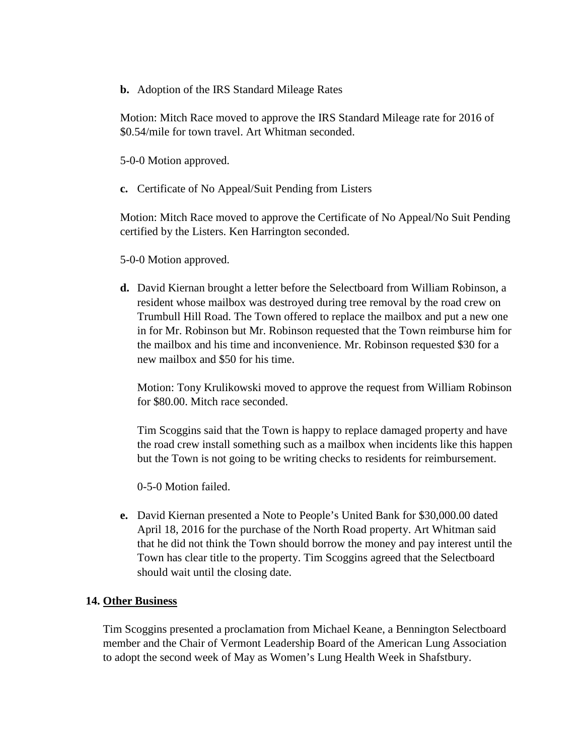**b.** Adoption of the IRS Standard Mileage Rates

Motion: Mitch Race moved to approve the IRS Standard Mileage rate for 2016 of \$0.54/mile for town travel. Art Whitman seconded.

5-0-0 Motion approved.

**c.** Certificate of No Appeal/Suit Pending from Listers

Motion: Mitch Race moved to approve the Certificate of No Appeal/No Suit Pending certified by the Listers. Ken Harrington seconded.

5-0-0 Motion approved.

**d.** David Kiernan brought a letter before the Selectboard from William Robinson, a resident whose mailbox was destroyed during tree removal by the road crew on Trumbull Hill Road. The Town offered to replace the mailbox and put a new one in for Mr. Robinson but Mr. Robinson requested that the Town reimburse him for the mailbox and his time and inconvenience. Mr. Robinson requested \$30 for a new mailbox and \$50 for his time.

Motion: Tony Krulikowski moved to approve the request from William Robinson for \$80.00. Mitch race seconded.

Tim Scoggins said that the Town is happy to replace damaged property and have the road crew install something such as a mailbox when incidents like this happen but the Town is not going to be writing checks to residents for reimbursement.

0-5-0 Motion failed.

**e.** David Kiernan presented a Note to People's United Bank for \$30,000.00 dated April 18, 2016 for the purchase of the North Road property. Art Whitman said that he did not think the Town should borrow the money and pay interest until the Town has clear title to the property. Tim Scoggins agreed that the Selectboard should wait until the closing date.

# **14. Other Business**

Tim Scoggins presented a proclamation from Michael Keane, a Bennington Selectboard member and the Chair of Vermont Leadership Board of the American Lung Association to adopt the second week of May as Women's Lung Health Week in Shafstbury.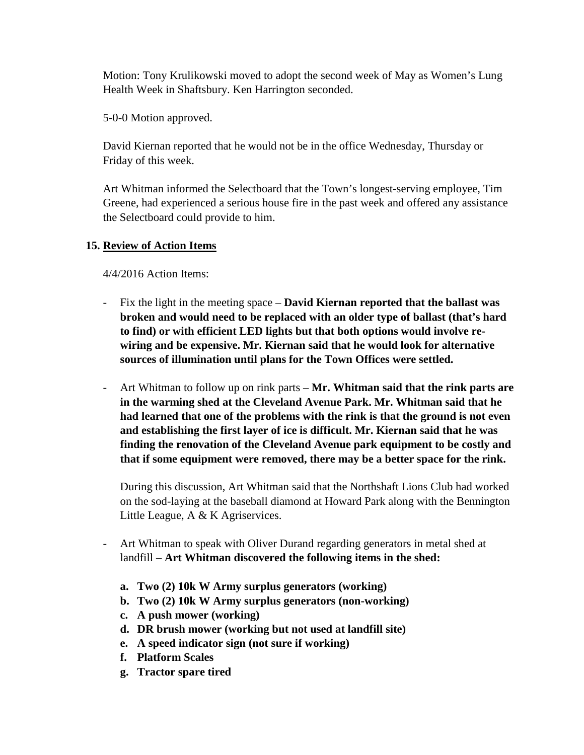Motion: Tony Krulikowski moved to adopt the second week of May as Women's Lung Health Week in Shaftsbury. Ken Harrington seconded.

5-0-0 Motion approved.

David Kiernan reported that he would not be in the office Wednesday, Thursday or Friday of this week.

Art Whitman informed the Selectboard that the Town's longest-serving employee, Tim Greene, had experienced a serious house fire in the past week and offered any assistance the Selectboard could provide to him.

#### **15. Review of Action Items**

4/4/2016 Action Items:

- Fix the light in the meeting space **David Kiernan reported that the ballast was broken and would need to be replaced with an older type of ballast (that's hard to find) or with efficient LED lights but that both options would involve rewiring and be expensive. Mr. Kiernan said that he would look for alternative sources of illumination until plans for the Town Offices were settled.**
- Art Whitman to follow up on rink parts **Mr. Whitman said that the rink parts are in the warming shed at the Cleveland Avenue Park. Mr. Whitman said that he had learned that one of the problems with the rink is that the ground is not even and establishing the first layer of ice is difficult. Mr. Kiernan said that he was finding the renovation of the Cleveland Avenue park equipment to be costly and that if some equipment were removed, there may be a better space for the rink.**

During this discussion, Art Whitman said that the Northshaft Lions Club had worked on the sod-laying at the baseball diamond at Howard Park along with the Bennington Little League, A & K Agriservices.

- Art Whitman to speak with Oliver Durand regarding generators in metal shed at landfill – **Art Whitman discovered the following items in the shed:**
	- **a. Two (2) 10k W Army surplus generators (working)**
	- **b. Two (2) 10k W Army surplus generators (non-working)**
	- **c. A push mower (working)**
	- **d. DR brush mower (working but not used at landfill site)**
	- **e. A speed indicator sign (not sure if working)**
	- **f. Platform Scales**
	- **g. Tractor spare tired**